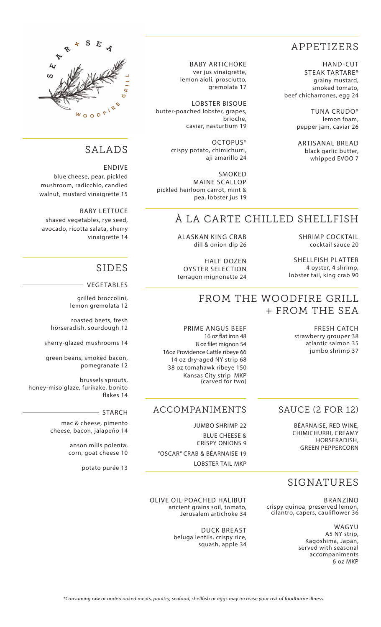### APPETIZERS

HAND-CUT STEAK TARTARE\* grainy mustard, smoked tomato, beef chicharrones, egg 24

> TUNA CRUDO\* lemon foam, pepper jam, caviar 26

ARTISANAL BREAD black garlic butter, whipped EVOO 7

BABY ARTICHOKE ver jus vinaigrette, lemon aioli, prosciutto, gremolata 17

LOBSTER BISQUE butter-poached lobster, grapes, brioche, caviar, nasturtium 19

> OCTOPUS\* crispy potato, chimichurri, aji amarillo 24

SMOKED MAINE SCALLOP pickled heirloom carrot, mint & pea, lobster jus 19

## À LA CARTE CHILLED SHELLFISH

SHRIMP COCKTAIL cocktail sauce 20

SHELLFISH PLATTER 4 oyster, 4 shrimp, lobster tail, king crab 90

dill & onion dip 26

ALASKAN KING CRAB

OYSTER SELECTION terragon mignonette 24

#### FROM THE WOODFIRE GRILL + FROM THE SEA

FRESH CATCH jumbo shrimp 37

# HALF DOZEN

strawberry grouper 38 atlantic salmon 35

#### SAUCE (2 FOR 12)

BÉARNAISE, RED WINE, CHIMICHURRI, CREAMY HORSERADISH, GREEN PEPPERCORN

#### SIGNATURES

BRANZINO crispy quinoa, preserved lemon, cilantro, capers, cauliflower 36

> WAGYU A5 NY strip, Kagoshima, Japan, served with seasonal accompaniments 6 oz MKP

PRIME ANGUS BEEF 16 oz flat iron 48 8 oz filet mignon 54 16oz Providence Cattle ribeye 66 14 oz dry-aged NY strip 68 38 oz tomahawk ribeye 150 Kansas City strip MKP (carved for two)

#### ACCOMPANIMENTS

JUMBO SHRIMP 22 BLUE CHEESE & CRISPY ONIONS 9 "OSCAR" CRAB & BÉARNAISE 19 LOBSTER TAIL MKP



#### SALADS

ENDIVE blue cheese, pear, pickled mushroom, radicchio, candied walnut, mustard vinaigrette 15

BABY LETTUCE shaved vegetables, rye seed, avocado, ricotta salata, sherry vinaigrette 14

#### SIDES

VEGETABLES

grilled broccolini, lemon gremolata 12

roasted beets, fresh horseradish, sourdough 12

sherry-glazed mushrooms 14

green beans, smoked bacon, pomegranate 12

brussels sprouts, honey-miso glaze, furikake, bonito flakes 14

#### STARCH

mac & cheese, pimento cheese, bacon, jalapeño 14

> anson mills polenta, corn, goat cheese 10

> > potato purée 13

OLIVE OIL-POACHED HALIBUT ancient grains soil, tomato, Jerusalem artichoke 34

> DUCK BREAST beluga lentils, crispy rice, squash, apple 34